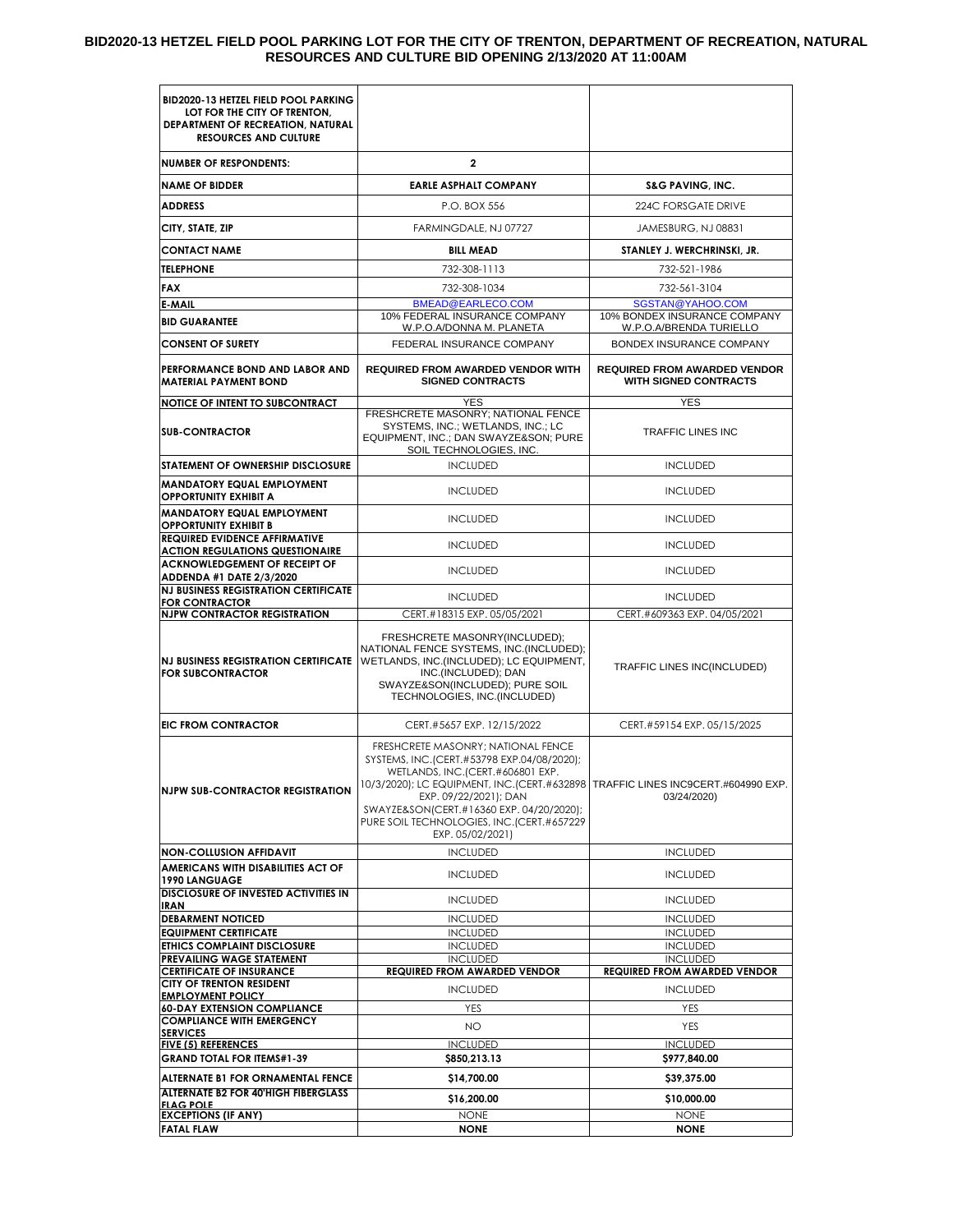#### **BID2020-13 HETZEL FIELD POOL PARKING LOT FOR THE CITY OF TRENTON, DEPARTMENT OF RECREATION, NATURAL RESOURCES AND CULTURE BID OPENING 2/13/2020 AT 11:00AM**

| <b>BID2020-13 HETZEL FIELD POOL PARKING</b><br>LOT FOR THE CITY OF TRENTON,<br>DEPARTMENT OF RECREATION, NATURAL<br><b>RESOURCES AND CULTURE</b> |                                                                                                                                                                                                                                                                                                                                                 |                                                              |
|--------------------------------------------------------------------------------------------------------------------------------------------------|-------------------------------------------------------------------------------------------------------------------------------------------------------------------------------------------------------------------------------------------------------------------------------------------------------------------------------------------------|--------------------------------------------------------------|
| <b>NUMBER OF RESPONDENTS:</b>                                                                                                                    | $\mathbf{2}$                                                                                                                                                                                                                                                                                                                                    |                                                              |
| <b>NAME OF BIDDER</b>                                                                                                                            | <b>EARLE ASPHALT COMPANY</b>                                                                                                                                                                                                                                                                                                                    | <b>S&amp;G PAVING, INC.</b>                                  |
| <b>ADDRESS</b>                                                                                                                                   | P.O. BOX 556                                                                                                                                                                                                                                                                                                                                    | 224C FORSGATE DRIVE                                          |
| CITY, STATE, ZIP                                                                                                                                 | FARMINGDALE, NJ 07727                                                                                                                                                                                                                                                                                                                           | JAMESBURG, NJ 08831                                          |
| <b>CONTACT NAME</b>                                                                                                                              | <b>BILL MEAD</b>                                                                                                                                                                                                                                                                                                                                | STANLEY J. WERCHRINSKI, JR.                                  |
| <b>TELEPHONE</b>                                                                                                                                 | 732-308-1113                                                                                                                                                                                                                                                                                                                                    | 732-521-1986                                                 |
| FAX                                                                                                                                              | 732-308-1034                                                                                                                                                                                                                                                                                                                                    | 732-561-3104                                                 |
| E-MAIL                                                                                                                                           | BMEAD@EARLECO.COM<br>10% FEDERAL INSURANCE COMPANY                                                                                                                                                                                                                                                                                              | SGSTAN@YAHOO.COM<br>10% BONDEX INSURANCE COMPANY             |
| <b>BID GUARANTEE</b>                                                                                                                             | W.P.O.A/DONNA M. PLANETA                                                                                                                                                                                                                                                                                                                        | W.P.O.A/BRENDA TURIELLO                                      |
| <b>CONSENT OF SURETY</b>                                                                                                                         | FEDERAL INSURANCE COMPANY                                                                                                                                                                                                                                                                                                                       | BONDEX INSURANCE COMPANY                                     |
| PERFORMANCE BOND AND LABOR AND<br><b>MATERIAL PAYMENT BOND</b>                                                                                   | <b>REQUIRED FROM AWARDED VENDOR WITH</b><br><b>SIGNED CONTRACTS</b>                                                                                                                                                                                                                                                                             | <b>REQUIRED FROM AWARDED VENDOR</b><br>WITH SIGNED CONTRACTS |
| <b>NOTICE OF INTENT TO SUBCONTRACT</b>                                                                                                           | <b>YES</b>                                                                                                                                                                                                                                                                                                                                      | <b>YES</b>                                                   |
| <b>SUB-CONTRACTOR</b>                                                                                                                            | FRESHCRETE MASONRY; NATIONAL FENCE<br>SYSTEMS, INC.; WETLANDS, INC.; LC<br>EQUIPMENT, INC.; DAN SWAYZE&SON PURE<br>SOIL TECHNOLOGIES, INC.                                                                                                                                                                                                      | <b>TRAFFIC LINES INC</b>                                     |
| <b>STATEMENT OF OWNERSHIP DISCLOSURE</b>                                                                                                         | <b>INCLUDED</b>                                                                                                                                                                                                                                                                                                                                 | <b>INCLUDED</b>                                              |
| <b>MANDATORY EQUAL EMPLOYMENT</b><br><b>OPPORTUNITY EXHIBIT A</b>                                                                                | <b>INCLUDED</b>                                                                                                                                                                                                                                                                                                                                 | <b>INCLUDED</b>                                              |
| <b>MANDATORY EQUAL EMPLOYMENT</b><br><b>OPPORTUNITY EXHIBIT B</b>                                                                                | <b>INCLUDED</b>                                                                                                                                                                                                                                                                                                                                 | <b>INCLUDED</b>                                              |
| <b>REQUIRED EVIDENCE AFFIRMATIVE</b><br><b>ACTION REGULATIONS QUESTIONAIRE</b>                                                                   | <b>INCLUDED</b>                                                                                                                                                                                                                                                                                                                                 | <b>INCLUDED</b>                                              |
| <b>ACKNOWLEDGEMENT OF RECEIPT OF</b><br>ADDENDA #1 DATE 2/3/2020                                                                                 | <b>INCLUDED</b>                                                                                                                                                                                                                                                                                                                                 | <b>INCLUDED</b>                                              |
| <b>NJ BUSINESS REGISTRATION CERTIFICATE</b>                                                                                                      | <b>INCLUDED</b>                                                                                                                                                                                                                                                                                                                                 | <b>INCLUDED</b>                                              |
| <b>FOR CONTRACTOR</b><br><b>NJPW CONTRACTOR REGISTRATION</b>                                                                                     | CERT.#18315 EXP. 05/05/2021                                                                                                                                                                                                                                                                                                                     | CERT.#609363 EXP. 04/05/2021                                 |
| <b>FOR SUBCONTRACTOR</b>                                                                                                                         | FRESHCRETE MASONRY(INCLUDED);<br>NATIONAL FENCE SYSTEMS, INC. (INCLUDED);<br>NJ BUSINESS REGISTRATION CERTIFICATE   WETLANDS, INC. (INCLUDED); LC EQUIPMENT,<br>INC.(INCLUDED); DAN<br>SWAYZE&SON(INCLUDED); PURE SOIL<br>TECHNOLOGIES, INC.(INCLUDED)                                                                                          | TRAFFIC LINES INC(INCLUDED)                                  |
| <b>EIC FROM CONTRACTOR</b>                                                                                                                       | CERT.#5657 EXP. 12/15/2022                                                                                                                                                                                                                                                                                                                      | CERT.#59154 EXP. 05/15/2025                                  |
| <b>NJPW SUB-CONTRACTOR REGISTRATION</b>                                                                                                          | FRESHCRETE MASONRY; NATIONAL FENCE<br>SYSTEMS, INC.(CERT.#53798 EXP.04/08/2020);<br>WETLANDS, INC.(CERT.#606801 EXP.<br>10/3/2020); LC EQUIPMENT, INC.(CERT.#632898   TRAFFIC LINES INC9CERT.#604990 EXP.<br>EXP. 09/22/2021); DAN<br>SWAYZE&SON(CERT.#16360 EXP. 04/20/2020);<br>PURE SOIL TECHNOLOGIES, INC.(CERT.#657229<br>EXP. 05/02/2021) | 03/24/2020)                                                  |
| <b>NON-COLLUSION AFFIDAVIT</b>                                                                                                                   | <b>INCLUDED</b>                                                                                                                                                                                                                                                                                                                                 | <b>INCLUDED</b>                                              |
| AMERICANS WITH DISABILITIES ACT OF<br><b>1990 LANGUAGE</b>                                                                                       | <b>INCLUDED</b>                                                                                                                                                                                                                                                                                                                                 | <b>INCLUDED</b>                                              |
| DISCLOSURE OF INVESTED ACTIVITIES IN<br>IRAN                                                                                                     | <b>INCLUDED</b>                                                                                                                                                                                                                                                                                                                                 | <b>INCLUDED</b>                                              |
| <b>DEBARMENT NOTICED</b>                                                                                                                         | <b>INCLUDED</b>                                                                                                                                                                                                                                                                                                                                 | <b>INCLUDED</b>                                              |
| <b>EQUIPMENT CERTIFICATE</b>                                                                                                                     | <b>INCLUDED</b>                                                                                                                                                                                                                                                                                                                                 | <b>INCLUDED</b>                                              |
| ETHICS COMPLAINT DISCLOSURE                                                                                                                      | <b>INCLUDED</b>                                                                                                                                                                                                                                                                                                                                 | <b>INCLUDED</b>                                              |
| PREVAILING WAGE STATEMENT<br><b>CERTIFICATE OF INSURANCE</b>                                                                                     | <b>INCLUDED</b><br><b>REQUIRED FROM AWARDED VENDOR</b>                                                                                                                                                                                                                                                                                          | <b>INCLUDED</b><br><b>REQUIRED FROM AWARDED VENDOR</b>       |
| <b>CITY OF TRENTON RESIDENT</b>                                                                                                                  | <b>INCLUDED</b>                                                                                                                                                                                                                                                                                                                                 | <b>INCLUDED</b>                                              |
| <b>EMPLOYMENT POLICY</b><br><b>60-DAY EXTENSION COMPLIANCE</b>                                                                                   | <b>YES</b>                                                                                                                                                                                                                                                                                                                                      | <b>YES</b>                                                   |
| <b>COMPLIANCE WITH EMERGENCY</b>                                                                                                                 | NO.                                                                                                                                                                                                                                                                                                                                             | <b>YES</b>                                                   |
| <b>SERVICES</b><br><b>FIVE (5) REFERENCES</b>                                                                                                    | <b>INCLUDED</b>                                                                                                                                                                                                                                                                                                                                 | <b>INCLUDED</b>                                              |
| <b>GRAND TOTAL FOR ITEMS#1-39</b>                                                                                                                | \$850,213.13                                                                                                                                                                                                                                                                                                                                    | \$977,840.00                                                 |
| ALTERNATE B1 FOR ORNAMENTAL FENCE                                                                                                                | \$14,700.00                                                                                                                                                                                                                                                                                                                                     | \$39,375.00                                                  |
| <b>ALTERNATE B2 FOR 40'HIGH FIBERGLASS</b><br><b>FLAG POLE</b>                                                                                   | \$16,200.00                                                                                                                                                                                                                                                                                                                                     | \$10,000.00                                                  |
| <b>EXCEPTIONS (IF ANY)</b>                                                                                                                       | <b>NONE</b>                                                                                                                                                                                                                                                                                                                                     | <b>NONE</b>                                                  |
| <b>FATAL FLAW</b>                                                                                                                                | <b>NONE</b>                                                                                                                                                                                                                                                                                                                                     | <b>NONE</b>                                                  |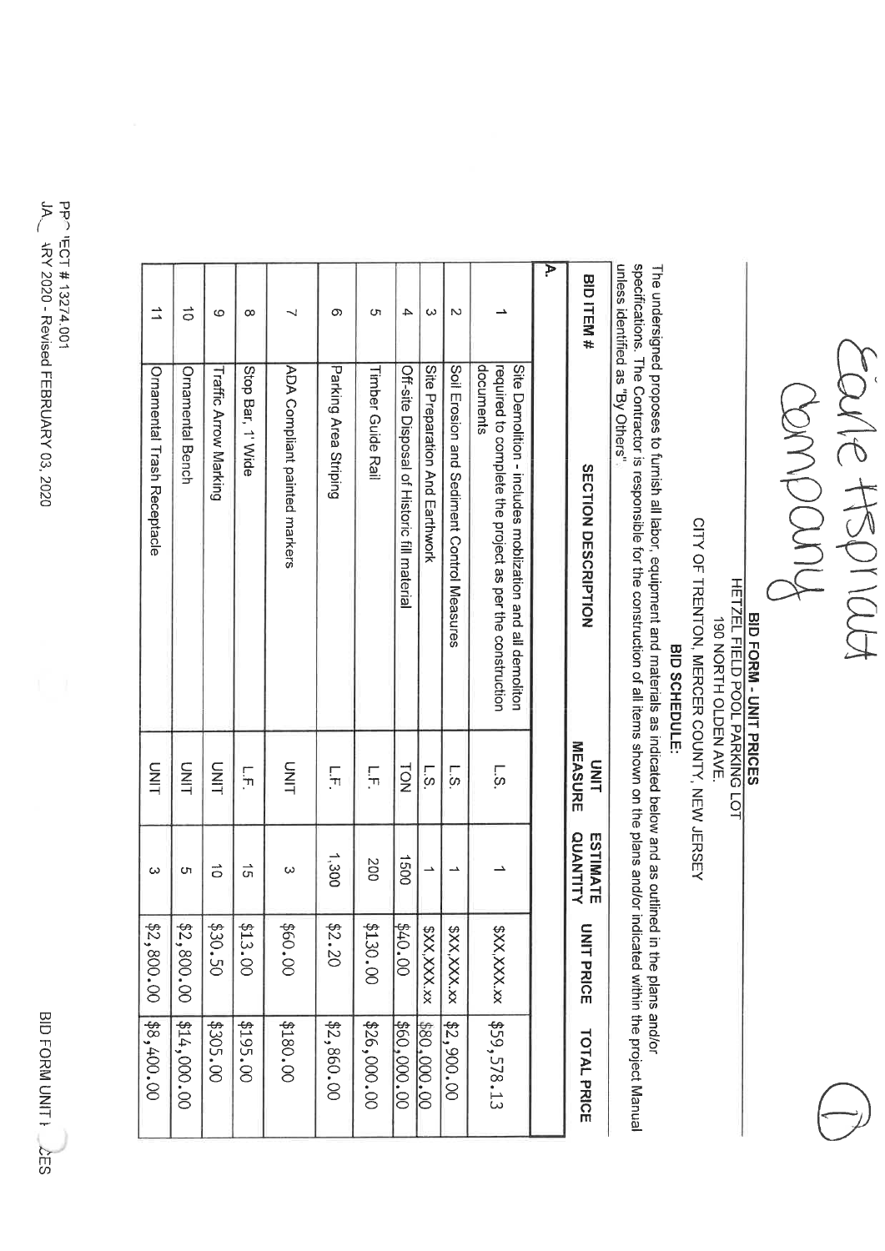BID FORM UNIT } LES

 $\mu$ PP- FCT #13274.001 **WY 2020 - Revised FEBRUARY 03, 2020** 

| BID ITEM#             | <b>SECTION DESCRIPTION</b>                                                                                                          | MEASURE<br>SINI                  | <b>QUANTITY</b><br>ESTIMATE | <b>UNIT PRICE</b> | <b>TOTAL PRICE</b>        |
|-----------------------|-------------------------------------------------------------------------------------------------------------------------------------|----------------------------------|-----------------------------|-------------------|---------------------------|
| $\blacktriangleright$ |                                                                                                                                     |                                  |                             |                   |                           |
|                       | documents<br>Site Demonition - includes mobilization and all demonition<br>required to complete the project as per the construction | .<br>ن                           |                             | XXXXXXX           | \$59,578.13               |
| N                     | Soil Erosion and Sediment Control Measures                                                                                          | $\sim$                           |                             | \$XX,XXX.xx       | \$2,900.00                |
| ω                     | Site Preparation And Earthwork                                                                                                      | <u>اني</u>                       |                             | \$XX,XXX.xx       | \$80,000.00               |
| 4                     | Off-site Disposal of Historic fill material                                                                                         | <b>NO1</b>                       | 0091                        | 60.00             | \$60,000.00               |
| C٦                    | <b>Timber Guide Rail</b>                                                                                                            | Г.<br>Г.                         | 200                         | \$130.00          | \$26,000.00               |
| ග                     | Parking Area Striping                                                                                                               | 듀                                | 1,300                       | \$2.20            | \$2,860.00                |
|                       | <b>ADA Compliant painted markers</b>                                                                                                | TINU                             | ω                           | 00.09\$           | \$180.00                  |
| $\infty$              | Stop Bar, 1' Wide                                                                                                                   | $\frac{1}{1}$                    | ີຕ                          | \$13.00           | \$195.00                  |
| စ                     | Traffic Arrow Marking                                                                                                               | DINL                             | $\vec{0}$                   | \$30.50           | \$305.00                  |
| $\vec{0}$             | <b>Ornamental Bench</b>                                                                                                             | <b>UNIT</b>                      | <b>Ch</b>                   | \$2,800.00        | $\left[414,000.00\right]$ |
| ≐                     | Ornamental Trash Receptacle                                                                                                         | S<br>HIN                         | $\omega$                    | \$2,800.00        | \$8,400.00                |
|                       |                                                                                                                                     | uniess identified as "By Others" |                             |                   |                           |

Earle HSPIRLA

**BID FORM - UNIT PRICES** 

HETZEL FIELD POOL PARKING LOT

190 NORTH OLDEN AVE.

CITY OF TRENTON, MERCER COUNTY, NEW JERSEY

BID SCHEDULE:

The undersigned proposes to furnish all labor, equipment and materials as indicated below and as outlined in the plans and/or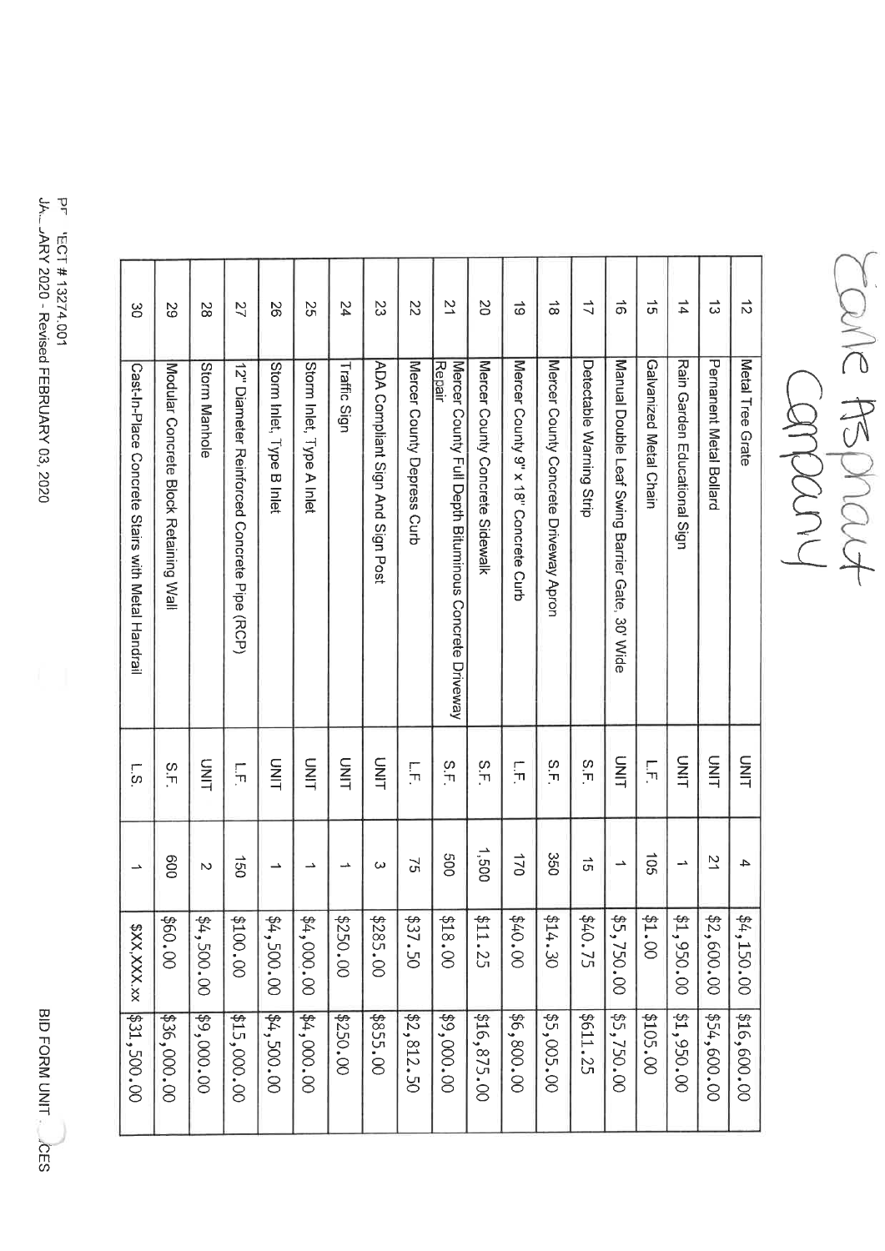| $\vec{D}$            | Metal Tree<br><b>Grate</b>                                             | DNIT                      | 4                     | \$4,150.00  | \$16,600.00 |
|----------------------|------------------------------------------------------------------------|---------------------------|-----------------------|-------------|-------------|
| ದ                    | Pernanent Metal Bollard                                                | TIND                      | $\overline{z}$        | \$2,600.00  | \$54,600.00 |
| $\overrightarrow{4}$ | Rain Garden Educational Sign                                           | SIM                       | د۔                    | \$1,950.00  | \$1,950.00  |
| $\vec{5}$            | Galvanized Metal Chain                                                 | $\overline{\Pi}$          | 501                   | 21.00       | \$105.00    |
| $\vec{\sigma}$       | Manual Double Leaf Swing<br>Barrier Gate,<br>30' Wide                  | SIND                      | $\rightarrow$         | \$5,750.00  | \$5,750.00  |
| ゴ                    | Detectable Warning Strip                                               | Σ.F                       | $\vec{\sigma}$        | \$40.75     | \$611.25    |
| $\vec{\infty}$       | Mercer County Concrete Driveway Apron                                  | ς,                        | 350                   | 214.30      | \$5,005.00  |
| ಹ                    | Mercer County 9" x 18" Concrete Curb                                   | $\overline{\overline{L}}$ | 02L                   | 00.04\$     | \$6,800.00  |
| S                    | Mercer County Concrete Sidewalk                                        | $\frac{8}{1}$             | 1,500                 | \$11.25     | \$16,875.00 |
| 21                   | <b>Repair</b><br>Mercer County Full Depth Bituminous Concrete Driveway | $\frac{S}{T}$             | 009                   | 00.818      | \$9,000.00  |
| 22                   | Mercer County Depress Curb                                             | $\frac{1}{11}$            | $\mathfrak{S}$        | \$37.50     | \$2,812.50  |
| ಜ                    | ADA Compliant Sign And Sign Post                                       | TIMU                      | ω                     | \$285.00    | \$855.00    |
| 24                   | <b>Traffic Sign</b>                                                    | TIMU                      | ᅭ                     | \$250.00    | \$250.00    |
| 25                   | Storm Inlet, Type A Inlet                                              | <b>UNIT</b>               | د_                    | \$4,000.00  | 00.000.00   |
| တ္တ                  | Storm Inlet, Type<br><b>B</b> Inlet                                    | DINL                      | ∸                     | \$4,500.00  | \$4,500.00  |
| 27                   | 12" Diameter Reinforced Concrete Pipe (RCP)                            | $\overline{\mathbb{F}}$   | $\overrightarrow{50}$ | 00.00.81    | \$15,000.00 |
| 2S                   | <b>Storm Manhole</b>                                                   | STILL                     | Z                     | \$4,500.00  | \$9,000.00  |
| S2                   | Modular Concrete<br><b>Block Retaining Wall</b>                        | ς.<br>Γ                   | 009                   | \$60.00     | \$36,000.00 |
| ဗ္ထ                  | Cast-In-Place Concrete Stairs with Metal Handrail                      | ო<br>ს                    | ∸                     | \$XX,XXX.xx | \$31,500.00 |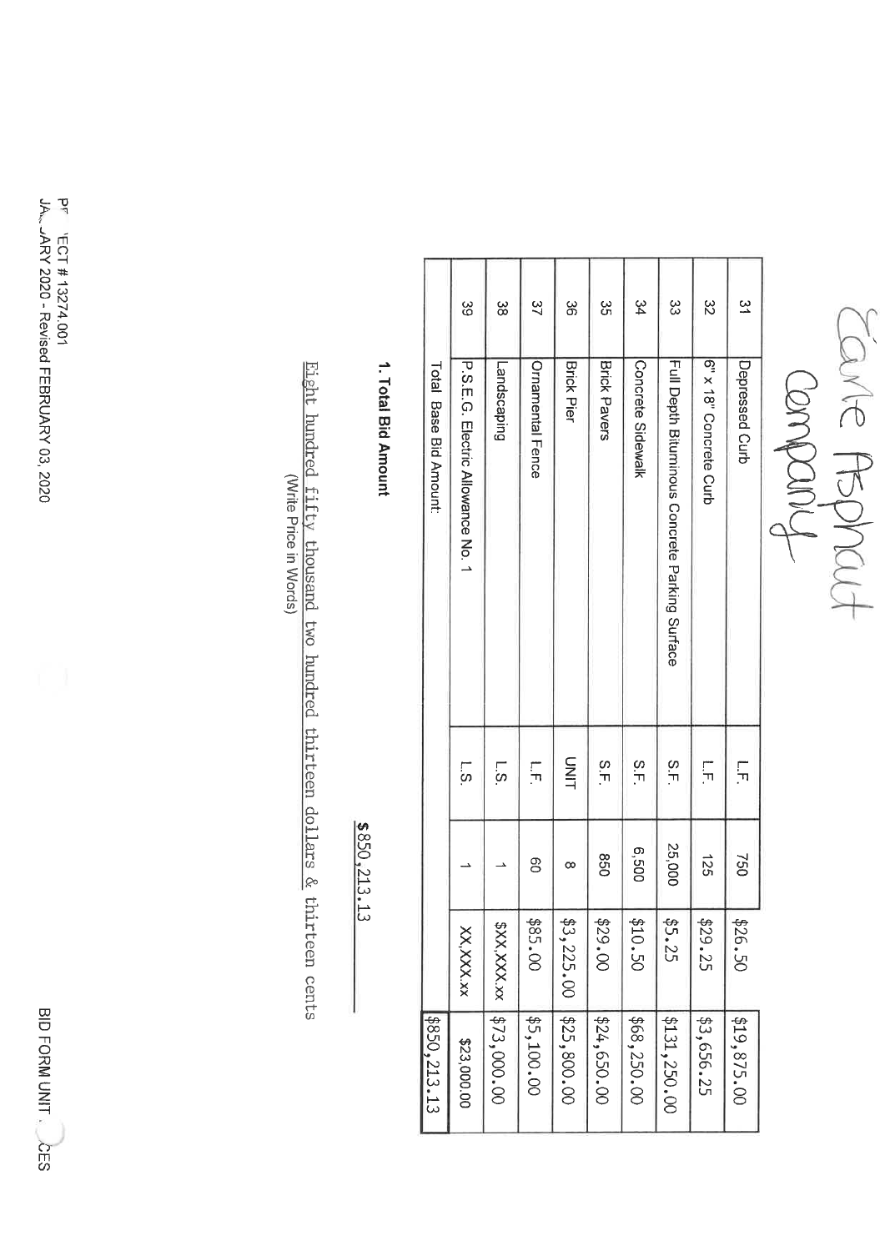BID FORM UNIT

PF 'ECT #13274.001 JA. JARY 2020 - Revised FEBRUARY 03, 2020

| \$850,213.13              |           |          |                 | <b>Total Base Bid Amout:</b>                   |                         |
|---------------------------|-----------|----------|-----------------|------------------------------------------------|-------------------------|
| \$23,000.00               | XX,XXX,xx |          | <b>1</b>        | D.O.E.O. Electric Allowance No. 1              | ပ္ပ                     |
| \$XX,XXX.xx   \$73,000.00 |           |          | <u>ს:</u>       | Landscaping                                    | ယ္က                     |
| \$5,100.00                | \$85.00   | ဥ        | Γ,              | <b>Ornamental Fence</b>                        | $\approx$               |
| $$3,225.00$ \$25,800.00   |           | $\infty$ | UNL             | <b>Brick Pier</b>                              | ယ္တ                     |
| \$24,650.00               | \$29.00   | 098      | ς.<br>Γ.        | <b>Brick Pavers</b>                            | ပ္ပ<br>ဟ                |
| \$68,250.00               | \$10.50   | 009'9    | $\frac{1}{1}$   | Concrete Sidewalk                              | 34                      |
| \$131,250.00              | \$5.25    | 25,000   | ς.<br>Γ.        | Full Depth Bituminous Concrete Parking Surface | ξ                       |
| \$3,656.25                | \$29.25   | 125      | Ş               | Six 18" Concte Curb                            | $\stackrel{\sim}{\sim}$ |
| \$19,875.00               | \$26.50   | 092      | $\frac{1}{\pi}$ | Depressed Curb                                 | $\approx$               |

Earle Rephaut

1. Total Bid Amount

 $$850,213.13$ 

Eight hundred fifty thousand two hundred thirteen dollars & thirteen cents (Write Price in Words)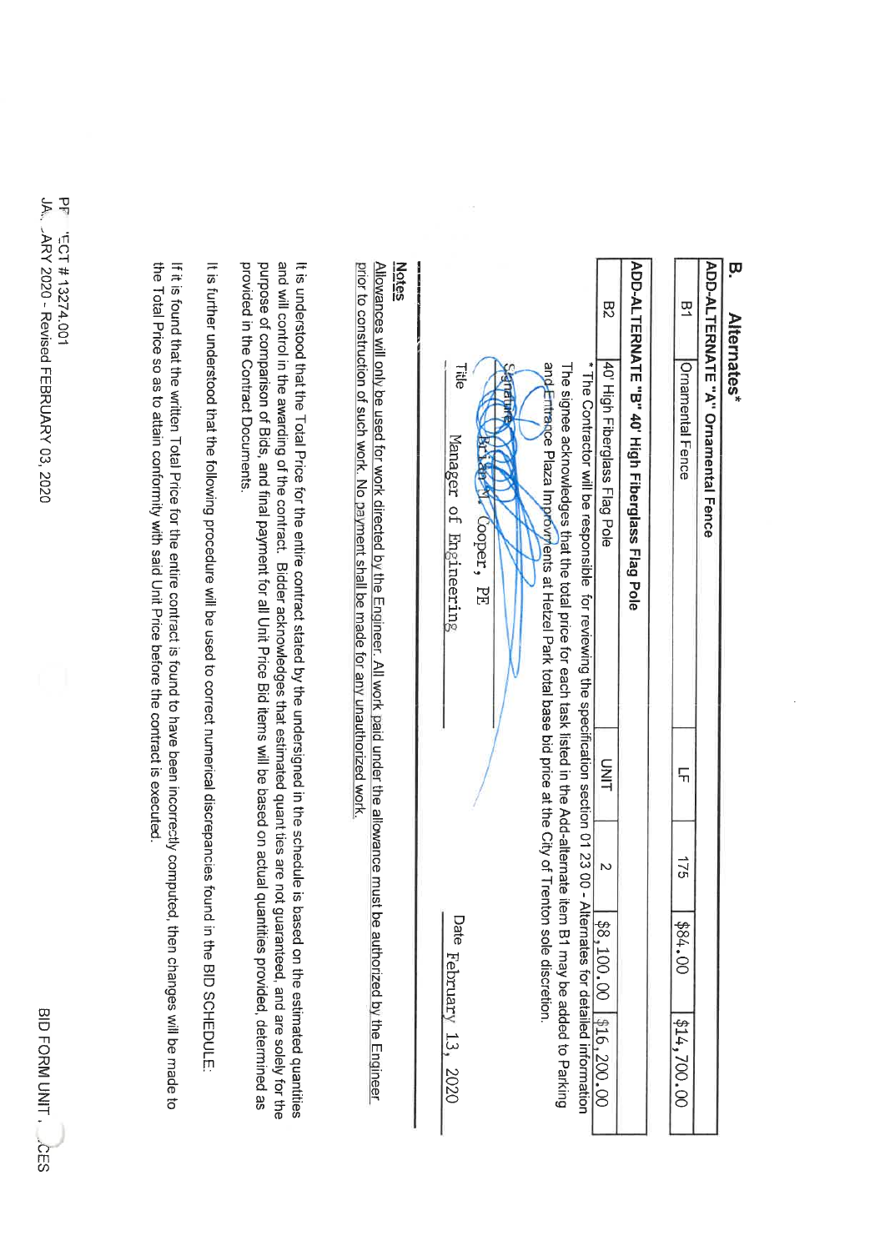## w Alternates<sup>1</sup>

|        | ADD-ALTERNATE "A" Ornamental Fence                                                                                          |               |     |                  |                            |
|--------|-----------------------------------------------------------------------------------------------------------------------------|---------------|-----|------------------|----------------------------|
|        | Ornamental Fence                                                                                                            | $\frac{1}{1}$ | 175 | 00.1884          | 1414,700.00                |
|        |                                                                                                                             |               |     |                  |                            |
|        | ADD-ALTERNATE "B" 40' High Fiberglass Flag Pole                                                                             |               |     |                  |                            |
| R<br>Z | 140 High Fiberglass Flag Pole                                                                                               | S<br>Sil      |     |                  | $88,100.00$   \$16, 200.00 |
|        | * The Contractor will be responsible for reviewing the specification section 01 23 00 - Alternates for detailed information |               |     |                  |                            |
|        | The signee acknowledges that the distribution of the distribution of the Add-alternate item                                 |               |     |                  | B1 Hay be added to Darking |
|        | ang Entrance Plaza Improviments at Hetzel Park total base bid price at the City of Trenton                                  |               |     | sole discretion. |                            |

| <b>Title</b><br>Manager of Engineering | TV Cooper, PE | and Entrance Plaza Improviments at Hetzel Park total base bid price at the City of Trenton sole discretion. | The signed acknowledges that the botal price of each task listed in the and the pdd-aller and the polar signed acknowledges and $\mu$ | 40' High Fiberglass Flag Pole<br>* The Contractor will be responsible_for reviewing the specification section 01 23 00 - Alternates for detailed informatio<br>* The Contractor will be responsible_for reviewing the specification | 40' High Fiberglass Flag Pole |
|----------------------------------------|---------------|-------------------------------------------------------------------------------------------------------------|---------------------------------------------------------------------------------------------------------------------------------------|-------------------------------------------------------------------------------------------------------------------------------------------------------------------------------------------------------------------------------------|-------------------------------|
|                                        |               |                                                                                                             |                                                                                                                                       |                                                                                                                                                                                                                                     | <b>UNIT</b>                   |
|                                        |               |                                                                                                             |                                                                                                                                       |                                                                                                                                                                                                                                     |                               |
| Date February 13, 2020                 |               |                                                                                                             |                                                                                                                                       |                                                                                                                                                                                                                                     |                               |
|                                        |               |                                                                                                             | be added to Parking                                                                                                                   |                                                                                                                                                                                                                                     |                               |

### **Notes**

prior to construction of such work. No payment shall be made for any unauthorized work Allowances will only be used for work directed by the Engineer. All work paid under the allowance must be authorized by the Engineer

provided in the Contract Documents. purpose of comparison of Bids, and final payment for all Unit Price Bid items will be based on actual quantities provided, determined as and will control in the awarding of the contract. Bidder acknowledges that estimated quant ties are not guaranteed, and are solely for the It is understood that the Total Price for the entire contract stated by the undersigned in the schedule is based on the estimated quantities

It is further understood that the following procedure will be used to correct numerical discrepancies found in the BID SCHEDULE:

the Total Price so as to attain conformity with said Unit Price before the contract is executed If it is found that the written Total Price for the entire contract is found to have been incorrectly computed, then changes will be made to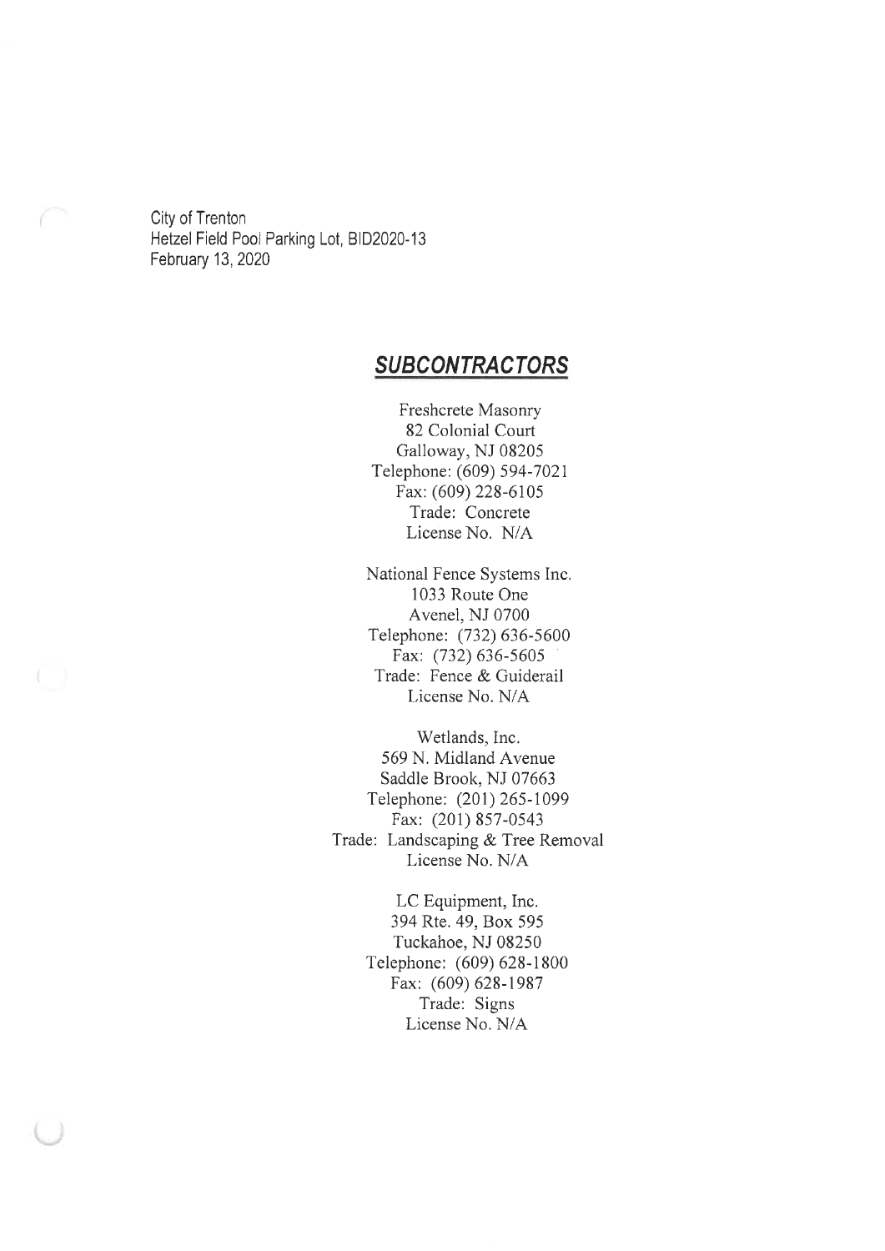City of Trenton Hetzel Field Pool Parking Lot, BID2020-13 February 13, 2020

### **SUBCONTRACTORS**

Freshcrete Masonry 82 Colonial Court Galloway, NJ 08205 Telephone: (609) 594-7021 Fax: (609) 228-6105 Trade: Concrete License No. N/A

National Fence Systems Inc. 1033 Route One Avenel, NJ 0700 Telephone: (732) 636-5600 Fax: (732) 636-5605 Trade: Fence & Guiderail License No. N/A

Wetlands, Inc. 569 N. Midland Avenue Saddle Brook, NJ 07663 Telephone: (201) 265-1099 Fax: (201) 857-0543 Trade: Landscaping & Tree Removal License No. N/A

> LC Equipment, Inc. 394 Rte. 49, Box 595 Tuckahoe, NJ 08250 Telephone: (609) 628-1800 Fax: (609) 628-1987 Trade: Signs License No. N/A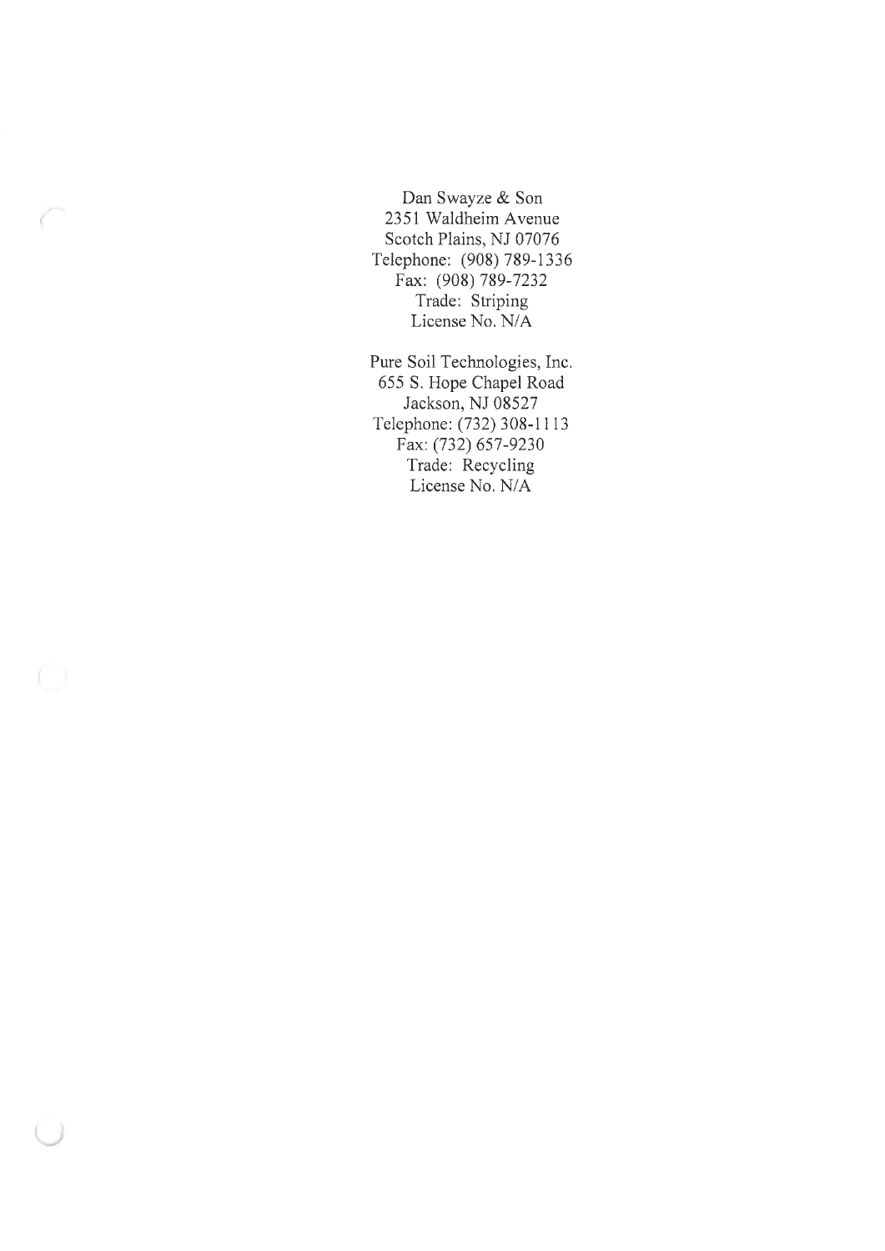Dan Swayze & Son 2351 Waldheim Avenue Scotch Plains, NJ 07076 Telephone: (908) 789-1336 Fax: (908) 789-7232 Trade: Striping License No. N/A

Pure Soil Technologies, Inc. 655 S. Hope Chapel Road Jackson, NJ 08527 Telephone: (732) 308-1113 Fax: (732) 657-9230 Trade: Recycling License No. N/A

O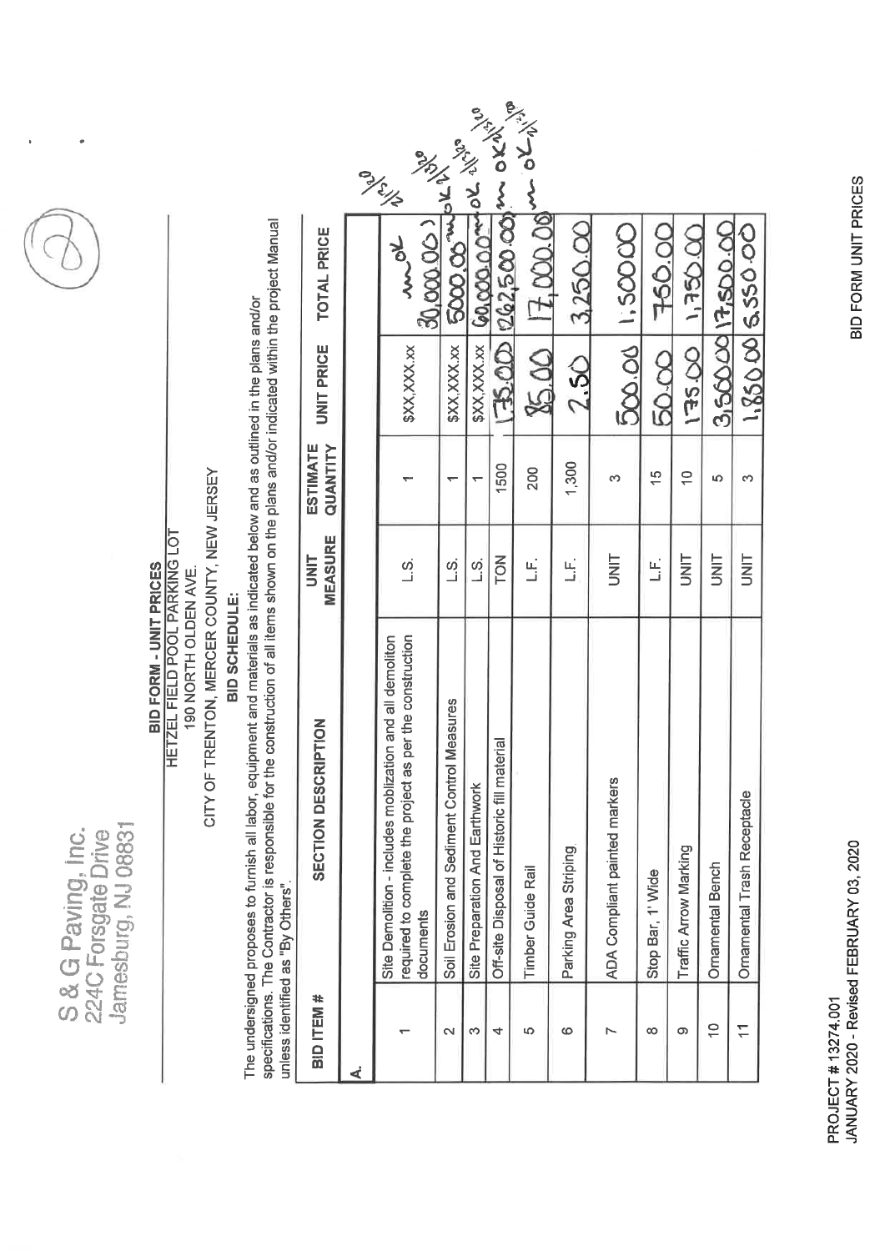| 胡       |
|---------|
| ÷<br>o. |
| L<br>õ  |
| O<br>لى |



CITY OF TRENTON, MERCER COUNTY, NEW JERSEY **HETZEL FIELD POOL PARKING LOT BID FORM - UNIT PRICES** 190 NORTH OLDEN AVE.

# BID SCHEDULE:

specifications. The Contractor is responsible for the construction of all items shown on the plans and/or indicated within the project Manual The undersigned proposes to furnish all labor, equipment and materials as indicated below and as outlined in the plans and/or unless identified as "By Others".

| <b>TOTAL PRICE</b>                    | only<br>www                                                                                                                          | $\frac{30,000000}{5000,00}$ units             |                                |                                             | $85.00$ $17.0000$ or other | 3.250.00              | 500.00 1:50000                | 760.00            | <b>DOGE'I</b>         | 3,5000017,50000         | 1,85000 5.55000             |
|---------------------------------------|--------------------------------------------------------------------------------------------------------------------------------------|-----------------------------------------------|--------------------------------|---------------------------------------------|----------------------------|-----------------------|-------------------------------|-------------------|-----------------------|-------------------------|-----------------------------|
| <b>UNIT PRICE</b>                     | \$XX,XXX.xx                                                                                                                          | \$XX, XXX.xx                                  |                                |                                             |                            | 250                   |                               | 50.00             | 00.551                |                         |                             |
| ESTIMATE<br>QUANTITY                  |                                                                                                                                      |                                               |                                | 1500                                        | 200                        | 1,300                 |                               | $\frac{5}{1}$     | $\cong$               | မာ                      | 6                           |
| <b>MEASURE</b><br>UNIT                | زہ<br>آ                                                                                                                              | ဟ<br>—                                        | s<br>Li                        | $\sum_{i=1}^{n}$                            | ن<br>ت                     | ن<br>آب               | <b>UNIT</b>                   | ن<br>تــ          | <b>UNL</b>            | <b>UNIT</b>             | <b>UNIT</b>                 |
| <b>PTION</b><br><b>SECTION DESCRI</b> | per the construction<br>Site Demolition - includes moblization and all demoliton<br>required to complete the project as<br>documents | Measures<br>Soil Erosion and Sediment Control | Site Preparation And Earthwork | Off-site Disposal of Historic fill material | <b>Timber Guide Rail</b>   | Parking Area Striping | ADA Compliant painted markers | Stop Bar, 1' Wide | Traffic Arrow Marking | <b>Ornamental Bench</b> | Ornamental Trash Receptacle |
| BID ITEM #                            |                                                                                                                                      | $\mathbf{\sim}$                               | ω                              | 4                                           | မာ                         | ဖ                     |                               | ထ                 | ω                     | $\frac{1}{2}$           |                             |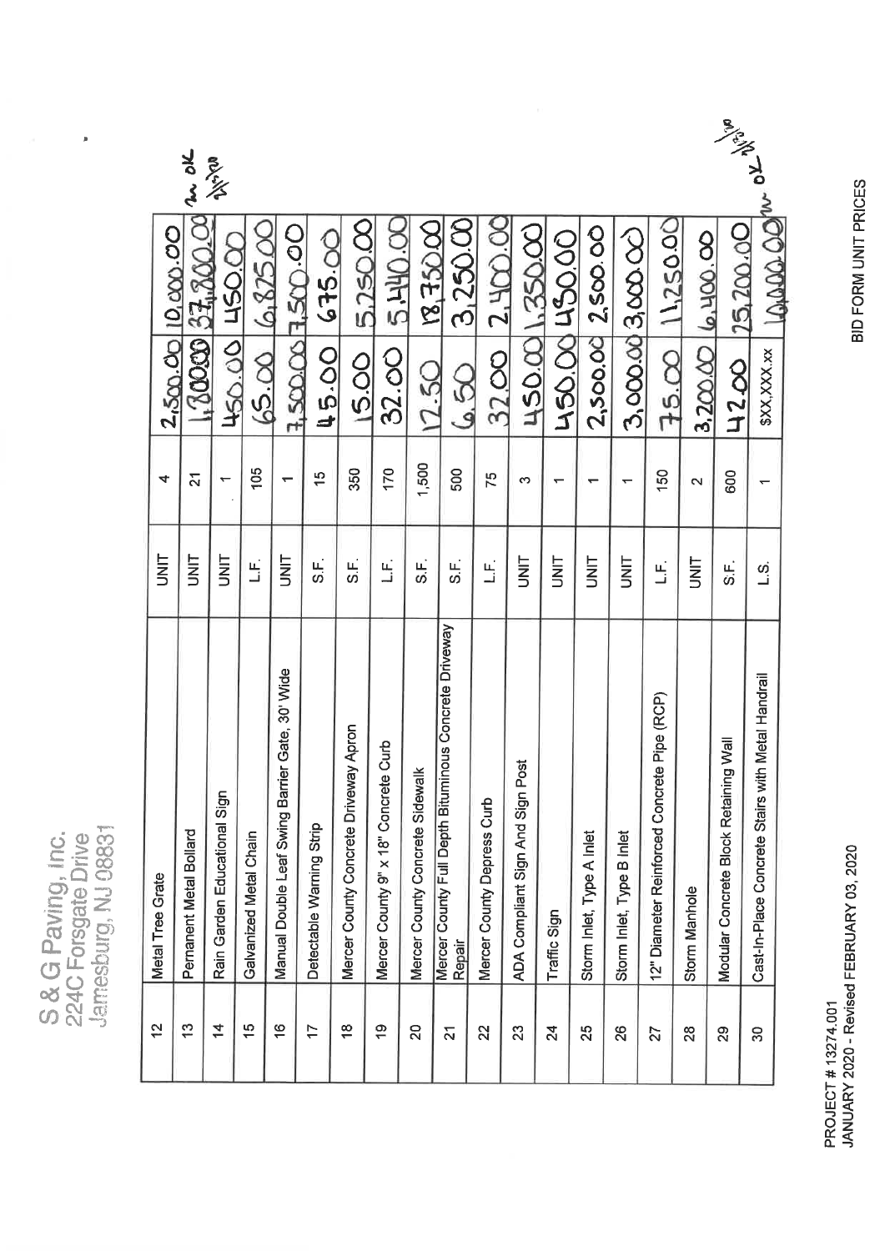| ۰<br>×<br><b>VIII</b> | ×               |      |
|-----------------------|-----------------|------|
| x<br>d<br>c           |                 | ars. |
| ٥<br>ä<br>C           | <b>Telestic</b> |      |

 $\begin{array}{c} \begin{array}{c} \begin{array}{c} \end{array} \end{array} \end{array}$ 

|                     |                          |                                          |                        |                                                 |                          |                                       |                                         |                                |                                                                 |                            |                                     |                 |                           |                           |                                             |                               |                                       | antal Ro                                          |  |
|---------------------|--------------------------|------------------------------------------|------------------------|-------------------------------------------------|--------------------------|---------------------------------------|-----------------------------------------|--------------------------------|-----------------------------------------------------------------|----------------------------|-------------------------------------|-----------------|---------------------------|---------------------------|---------------------------------------------|-------------------------------|---------------------------------------|---------------------------------------------------|--|
| 2,500.00110,000.000 | w ok<br>1.80000137.800.0 | <b>BOXLING</b><br><b>70971</b><br>50,001 | 6,8250C<br>65.00       | 3.500001.500.00                                 | 675.00<br>45.00          | 5,250. <b>CC</b><br>15.00             | <b>DHH S</b><br>32.00                   | <b>2005E'81</b><br>12 SO       | 3,250.CC<br>S<br>S                                              | $2.400$ OK<br>32.00        | 450.001.350.00                      | 450.00 450.00   | 2,500.00 2,500.00         | 3,000.00 3,000.00         | 11,250.00<br>75.00                          | $16.400$ $\infty$<br>3.200.00 | 25.200.0O<br>42.00                    | LOLDO OOM<br>\$XX, XXX.xx                         |  |
| 4                   | $\overline{\mathbf{c}}$  | $\overline{\phantom{0}}$                 | 105                    |                                                 | $\frac{5}{1}$            | 350                                   | 170                                     | 1,500                          | 500                                                             | 75                         | က                                   | ᅮ               |                           |                           | 150                                         | $\mathbf{\tilde{c}}$          | 600                                   |                                                   |  |
| $rac{1}{5}$         | <b>SINT</b>              | UNIT                                     | $\mathbb{E}$           | <b>SIMI</b>                                     | : سا<br>دی               | ن<br>ون                               | ن<br>نا                                 | ι<br>δ                         | :<br>تە                                                         | $\mathbb{E}$               | <b>SINT</b>                         | i<br>S          | <b>SINU</b>               | <b>UNL</b>                | ЕÍ.                                         | iz<br>S                       | ີນ.<br>ທີ່                            | زی<br>نــا                                        |  |
| Metal Tree Grate    | Pernanent Metal Bollard  | Rain Garden Educational Sign             | Galvanized Metal Chain | Manual Double Leaf Swing Barrier Gate, 30' Wide | Detectable Warning Strip | Mercer County Concrete Driveway Apron | Curb<br>Mercer County 9" x 18" Concrete | Mercer County Concrete Sidewal | Mercer County Full Depth Bituminous Concrete Driveway<br>Repair | Mercer County Depress Curb | ă<br>ADA Compliant Sign And Sign Po | Traffic Sign    | Storm Inlet, Type A Inlet | Storm Inlet, Type B Inlet | 12" Diameter Reinforced Concrete Pipe (RCP) | Storm Manhole                 | Modular Concrete Block Retaining Wall | Cast-In-Place Concrete Stairs with Metal Handrail |  |
| $\frac{2}{3}$       | ίä,                      | $\overline{4}$                           | $\frac{6}{1}$          | $\frac{6}{5}$                                   | 17                       | $\frac{8}{1}$                         | ë                                       | 20                             | $\overline{2}$                                                  | 22                         | $\mathbb{S}^2$                      | $\overline{24}$ | 25                        | 82                        | 27                                          | 28                            | 29                                    | 30                                                |  |

BID FORM UNIT PRICES

PROJECT # 13274.001<br>JANUARY 2020 - Revised FEBRUARY 03, 2020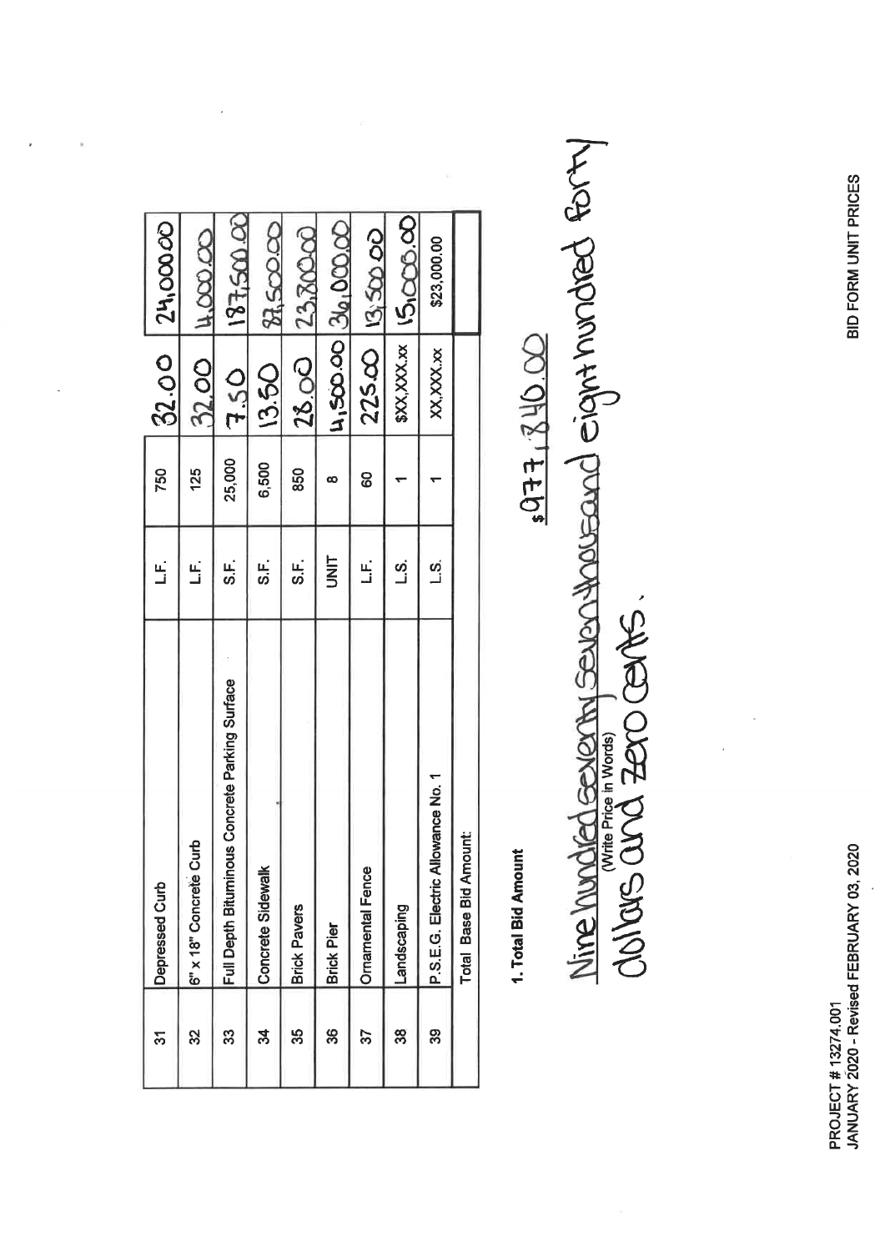BID FORM UNIT PRICES

**PROJECT # 13274.001<br>JANUARY 2020 - Revised FEBRUARY 03, 2020** 

|                | 14,000,00              | <u>187,500.00</u>                                  | 87.50000          | 23, ROCC            |                       |                         | 500000         | \$23,000.00                       |                              |
|----------------|------------------------|----------------------------------------------------|-------------------|---------------------|-----------------------|-------------------------|----------------|-----------------------------------|------------------------------|
| 32.00 24.00000 | 32.00                  | <b>7.50</b>                                        | 13.50             | 28.00               | 00000198100000        | $225.00$ $  0.50$ 00    | \$XX,XXX.xx    | XX, XXX. xx                       |                              |
| 750            | 125                    | 25,000                                             | 6,500             | 850                 | œ                     | 8                       |                |                                   |                              |
| .<br>آ         | .<br>ن                 | <u>မ</u><br>တ                                      | ட்<br>ഗ           | ⊥.<br>ທີ່           | I<br>I<br>I<br>I<br>I | ن<br>أ                  | <u>က်</u><br>၂ | ഗ്<br>_i                          |                              |
| Depressed Curb | 6" x 18" Concrete Curb | oncrete Parking Surface<br>Full Depth Bituminous C | Concrete Sidewalk | <b>Brick Pavers</b> | <b>Brick Pier</b>     | <b>Ornamental Fence</b> | Landscaping    | P.S.E.G. Electric Allowance No. 1 | <b>Total Base Bid Amount</b> |
| స్             | ಜ                      | 33                                                 | ಸ                 | 33                  | 86                    | 57                      | ထွ             | တ္တ                               |                              |

1. Total Bid Amount

Nine hundred severing severations eight hundred forty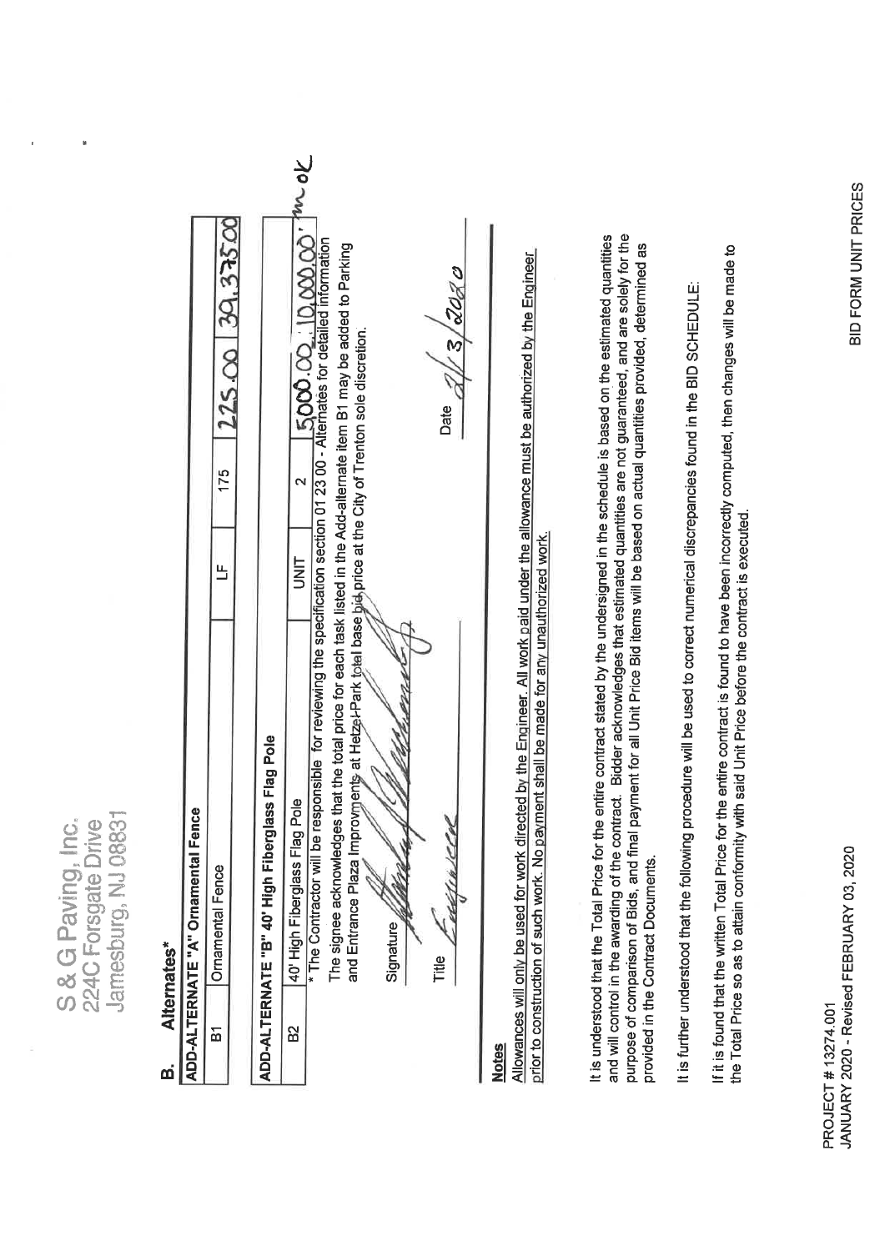|                                                                 |                          |                                    | 175<br>出                     |                                                 | ξ<br>$\overline{\epsilon}$<br>N<br><b>UNIT</b>  | * The Contractor will be responsible for reviewing the specification section 01 23 00 - Alterhates for detailed information<br>The signee acknowledges that the total price for each task listed in the Add-alternate item B1 may be added to Parking<br>5000 00 10.000<br>and Entrance Plaza Improvments at Hetzel-Park total base bid price at the City of Trenton sole discretion. | $\boldsymbol{\omega}$<br>Date | Allowances will only be used for work directed by the Engineer. All work paid under the allowance must be authorized by the Engineer | and will control in the awarding of the contract. Bidder acknowledges that estimated quantities are not guaranteed, and are solely for the<br>It is understood that the Total Price for the entire contract stated by the undersigned in the schedule is based on the estimated quantities<br>purpose of comparison of Bids, and final payment for all Unit Price Bid items will be based on actual quantities provided, determined as | It is further understood that the following procedure will be used to correct numerical discrepancies found in the BID SCHEDULE: | If it is found that the written Total Price for the entire contract is found to have been incorrectly computed, then changes will be made to |
|-----------------------------------------------------------------|--------------------------|------------------------------------|------------------------------|-------------------------------------------------|-------------------------------------------------|---------------------------------------------------------------------------------------------------------------------------------------------------------------------------------------------------------------------------------------------------------------------------------------------------------------------------------------------------------------------------------------|-------------------------------|--------------------------------------------------------------------------------------------------------------------------------------|----------------------------------------------------------------------------------------------------------------------------------------------------------------------------------------------------------------------------------------------------------------------------------------------------------------------------------------------------------------------------------------------------------------------------------------|----------------------------------------------------------------------------------------------------------------------------------|----------------------------------------------------------------------------------------------------------------------------------------------|
| S & G Paving, Inc.<br>Jamesburg, NJ 0883<br>224C Forsgate Drive | Alternates*<br><u>ന്</u> | ADD-ALTERNATE "A" Ornamental Fence | <b>Ornamental Fence</b><br>运 | ADD-ALTERNATE "B" 40' High Fiberglass Flag Pole | 40' High Fiberglass Flag Pole<br>B <sub>2</sub> | Signature                                                                                                                                                                                                                                                                                                                                                                             | CH<br>Title                   | prior to construction of such work. No payment shall be made for any unauthorized work.<br><b>Notes</b>                              | provided in the Contract Documents.                                                                                                                                                                                                                                                                                                                                                                                                    |                                                                                                                                  | the Total Price so as to attain conformity with said Unit Price before the contract is executed.                                             |

 $\mathbf{r}$ 

 $\bar{t}$